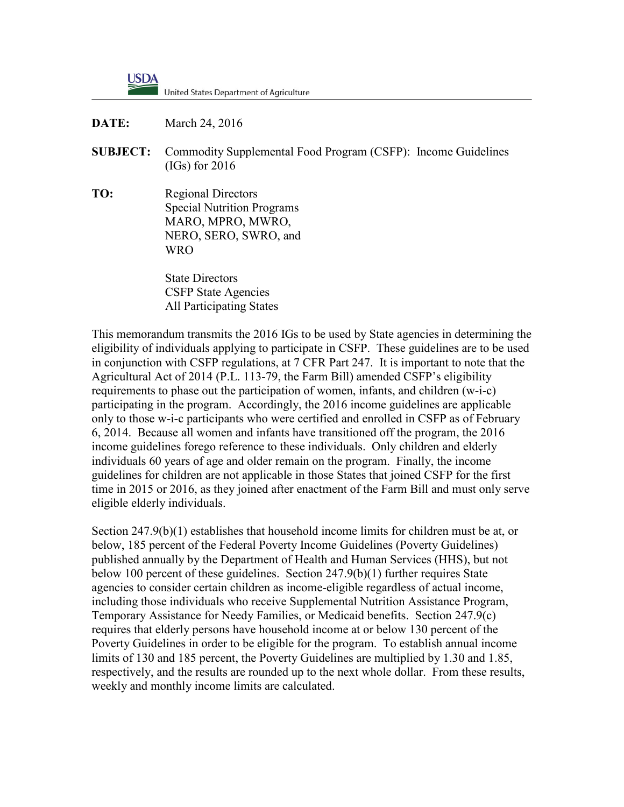**USDA** United States Department of Agriculture

**DATE:** March 24, 2016

- **SUBJECT:** Commodity Supplemental Food Program (CSFP): Income Guidelines (IGs) for 2016
- **TO:** Regional Directors Special Nutrition Programs MARO, MPRO, MWRO, NERO, SERO, SWRO, and WRO

State Directors CSFP State Agencies All Participating States

This memorandum transmits the 2016 IGs to be used by State agencies in determining the eligibility of individuals applying to participate in CSFP. These guidelines are to be used in conjunction with CSFP regulations, at 7 CFR Part 247. It is important to note that the Agricultural Act of 2014 (P.L. 113-79, the Farm Bill) amended CSFP's eligibility requirements to phase out the participation of women, infants, and children (w-i-c) participating in the program. Accordingly, the 2016 income guidelines are applicable only to those w-i-c participants who were certified and enrolled in CSFP as of February 6, 2014. Because all women and infants have transitioned off the program, the 2016 income guidelines forego reference to these individuals. Only children and elderly individuals 60 years of age and older remain on the program. Finally, the income guidelines for children are not applicable in those States that joined CSFP for the first time in 2015 or 2016, as they joined after enactment of the Farm Bill and must only serve eligible elderly individuals.

Section 247.9(b)(1) establishes that household income limits for children must be at, or below, 185 percent of the Federal Poverty Income Guidelines (Poverty Guidelines) published annually by the Department of Health and Human Services (HHS), but not below 100 percent of these guidelines. Section 247.9(b)(1) further requires State agencies to consider certain children as income-eligible regardless of actual income, including those individuals who receive Supplemental Nutrition Assistance Program, Temporary Assistance for Needy Families, or Medicaid benefits. Section 247.9(c) requires that elderly persons have household income at or below 130 percent of the Poverty Guidelines in order to be eligible for the program. To establish annual income limits of 130 and 185 percent, the Poverty Guidelines are multiplied by 1.30 and 1.85, respectively, and the results are rounded up to the next whole dollar. From these results, weekly and monthly income limits are calculated.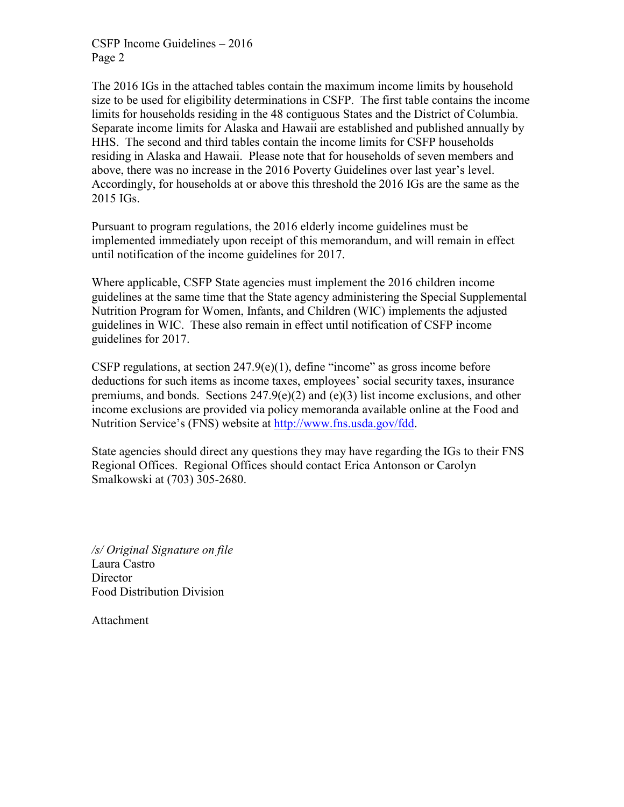CSFP Income Guidelines – 2016 Page 2

The 2016 IGs in the attached tables contain the maximum income limits by household size to be used for eligibility determinations in CSFP. The first table contains the income limits for households residing in the 48 contiguous States and the District of Columbia. Separate income limits for Alaska and Hawaii are established and published annually by HHS. The second and third tables contain the income limits for CSFP households residing in Alaska and Hawaii. Please note that for households of seven members and above, there was no increase in the 2016 Poverty Guidelines over last year's level. Accordingly, for households at or above this threshold the 2016 IGs are the same as the 2015 IGs.

Pursuant to program regulations, the 2016 elderly income guidelines must be implemented immediately upon receipt of this memorandum, and will remain in effect until notification of the income guidelines for 2017.

Where applicable, CSFP State agencies must implement the 2016 children income guidelines at the same time that the State agency administering the Special Supplemental Nutrition Program for Women, Infants, and Children (WIC) implements the adjusted guidelines in WIC. These also remain in effect until notification of CSFP income guidelines for 2017.

CSFP regulations, at section  $247.9(e)(1)$ , define "income" as gross income before deductions for such items as income taxes, employees' social security taxes, insurance premiums, and bonds. Sections  $247.9(e)(2)$  and  $(e)(3)$  list income exclusions, and other income exclusions are provided via policy memoranda available online at the Food and Nutrition Service's (FNS) website at [http://www.fns.usda.gov/fdd.](http://www.fns.usda.gov/fdd)

State agencies should direct any questions they may have regarding the IGs to their FNS Regional Offices. Regional Offices should contact Erica Antonson or Carolyn Smalkowski at (703) 305-2680.

*/s/ Original Signature on file* Laura Castro **Director** Food Distribution Division

Attachment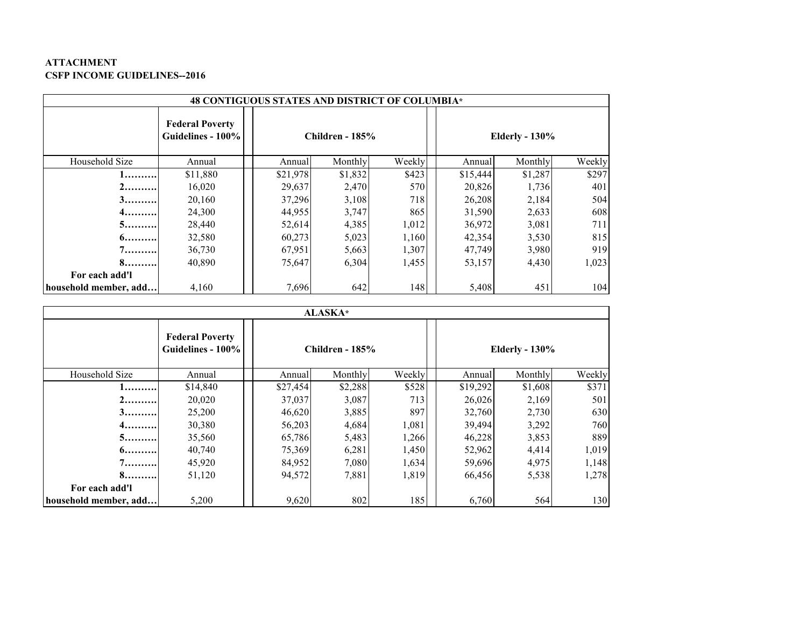## **ATTACHMENT CSFP INCOME GUIDELINES--2016**

| 48 CONTIGUOUS STATES AND DISTRICT OF COLUMBIA* |                                             |          |                        |        |          |                       |        |  |
|------------------------------------------------|---------------------------------------------|----------|------------------------|--------|----------|-----------------------|--------|--|
|                                                | <b>Federal Poverty</b><br>Guidelines - 100% |          | <b>Children - 185%</b> |        |          | <b>Elderly - 130%</b> |        |  |
| Household Size                                 | Annual                                      | Annual   | Monthly                | Weekly | Annual   | Monthly               | Weekly |  |
| 1.                                             | \$11,880                                    | \$21,978 | \$1,832                | \$423  | \$15,444 | \$1,287               | \$297  |  |
| $2$ "                                          | 16,020                                      | 29,637   | 2,470                  | 570    | 20,826   | 1,736                 | 401    |  |
| 3                                              | 20,160                                      | 37,296   | 3,108                  | 718    | 26,208   | 2,184                 | 504    |  |
| $4$                                            | 24,300                                      | 44,955   | 3,747                  | 865    | 31,590   | 2,633                 | 608    |  |
| $5$                                            | 28,440                                      | 52,614   | 4,385                  | 1,012  | 36,972   | 3,081                 | 711    |  |
| $6$                                            | 32,580                                      | 60,273   | 5,023                  | 1,160  | 42,354   | 3,530                 | 815    |  |
| 7.                                             | 36,730                                      | 67,951   | 5,663                  | 1,307  | 47,749   | 3,980                 | 919    |  |
| 8                                              | 40,890                                      | 75,647   | 6,304                  | 1,455  | 53,157   | 4,430                 | 1,023  |  |
| For each add'l                                 |                                             |          |                        |        |          |                       |        |  |
| household member, add                          | 4,160                                       | 7,696    | 642                    | 148    | 5,408    | 451                   | 104    |  |

| <b>ALASKA</b> *       |                                             |          |                 |        |          |                       |        |  |
|-----------------------|---------------------------------------------|----------|-----------------|--------|----------|-----------------------|--------|--|
|                       | <b>Federal Poverty</b><br>Guidelines - 100% |          | Children - 185% |        |          | <b>Elderly - 130%</b> |        |  |
| Household Size        | Annual                                      | Annual   | Monthly         | Weekly | Annual   | Monthly               | Weekly |  |
| 1                     | \$14,840                                    | \$27,454 | \$2,288         | \$528  | \$19,292 | \$1,608               | \$371  |  |
| $2$                   | 20,020                                      | 37,037   | 3,087           | 713    | 26,026   | 2,169                 | 501    |  |
| $3$                   | 25,200                                      | 46,620   | 3,885           | 897    | 32,760   | 2,730                 | 630    |  |
| 4                     | 30,380                                      | 56,203   | 4,684           | 1,081  | 39,494   | 3,292                 | 760    |  |
| 5                     | 35,560                                      | 65,786   | 5,483           | 1,266  | 46,228   | 3,853                 | 889    |  |
| $6$                   | 40,740                                      | 75,369   | 6,281           | 1,450  | 52,962   | 4,414                 | 1,019  |  |
| 7!                    | 45,920                                      | 84,952   | 7,080           | 1,634  | 59,696   | 4,975                 | 1,148  |  |
| 8                     | 51,120                                      | 94,572   | 7,881           | 1,819  | 66,456   | 5,538                 | 1,278  |  |
| For each add'l        |                                             |          |                 |        |          |                       |        |  |
| household member, add | 5,200                                       | 9,620    | 802             | 185    | 6,760    | 564                   | 130    |  |